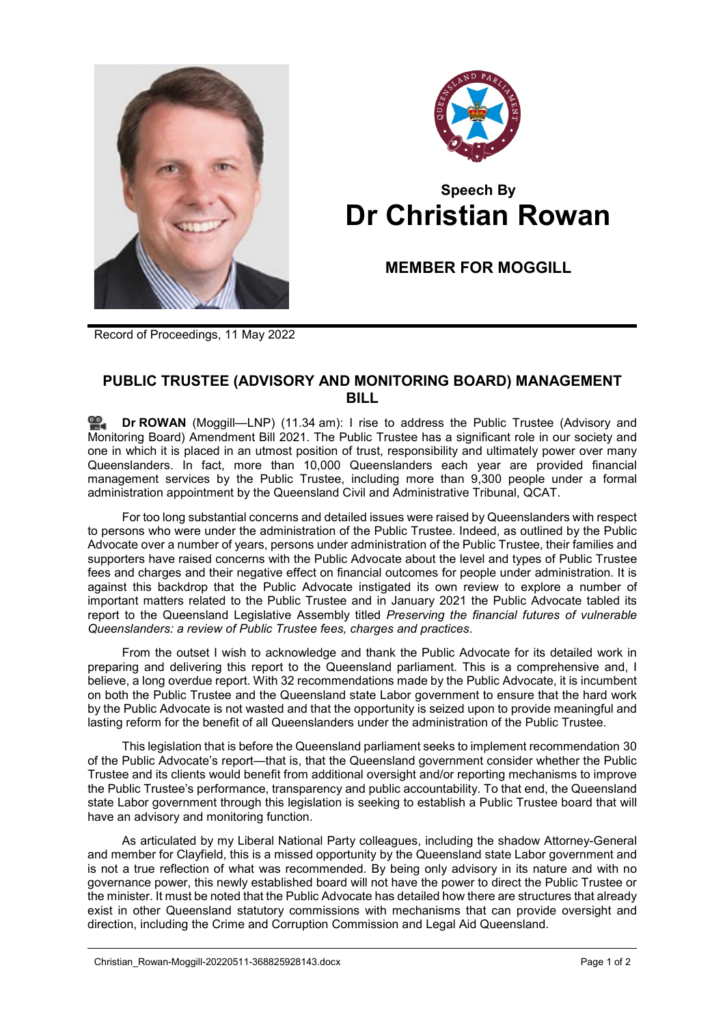



## **Speech By Dr Christian Rowan**

**MEMBER FOR MOGGILL**

Record of Proceedings, 11 May 2022

## **PUBLIC TRUSTEE (ADVISORY AND MONITORING BOARD) MANAGEMENT BILL**

**Dr [ROWAN](http://www.parliament.qld.gov.au/docs/find.aspx?id=0Mba20220511_113406)** (Moggill—LNP) (11.34 am): I rise to address the Public Trustee (Advisory and Monitoring Board) Amendment Bill 2021. The Public Trustee has a significant role in our society and one in which it is placed in an utmost position of trust, responsibility and ultimately power over many Queenslanders. In fact, more than 10,000 Queenslanders each year are provided financial management services by the Public Trustee, including more than 9,300 people under a formal administration appointment by the Queensland Civil and Administrative Tribunal, QCAT.

For too long substantial concerns and detailed issues were raised by Queenslanders with respect to persons who were under the administration of the Public Trustee. Indeed, as outlined by the Public Advocate over a number of years, persons under administration of the Public Trustee, their families and supporters have raised concerns with the Public Advocate about the level and types of Public Trustee fees and charges and their negative effect on financial outcomes for people under administration. It is against this backdrop that the Public Advocate instigated its own review to explore a number of important matters related to the Public Trustee and in January 2021 the Public Advocate tabled its report to the Queensland Legislative Assembly titled *Preserving the financial futures of vulnerable Queenslanders: a review of Public Trustee fees, charges and practices*.

From the outset I wish to acknowledge and thank the Public Advocate for its detailed work in preparing and delivering this report to the Queensland parliament. This is a comprehensive and, I believe, a long overdue report. With 32 recommendations made by the Public Advocate, it is incumbent on both the Public Trustee and the Queensland state Labor government to ensure that the hard work by the Public Advocate is not wasted and that the opportunity is seized upon to provide meaningful and lasting reform for the benefit of all Queenslanders under the administration of the Public Trustee.

This legislation that is before the Queensland parliament seeks to implement recommendation 30 of the Public Advocate's report—that is, that the Queensland government consider whether the Public Trustee and its clients would benefit from additional oversight and/or reporting mechanisms to improve the Public Trustee's performance, transparency and public accountability. To that end, the Queensland state Labor government through this legislation is seeking to establish a Public Trustee board that will have an advisory and monitoring function.

As articulated by my Liberal National Party colleagues, including the shadow Attorney-General and member for Clayfield, this is a missed opportunity by the Queensland state Labor government and is not a true reflection of what was recommended. By being only advisory in its nature and with no governance power, this newly established board will not have the power to direct the Public Trustee or the minister. It must be noted that the Public Advocate has detailed how there are structures that already exist in other Queensland statutory commissions with mechanisms that can provide oversight and direction, including the Crime and Corruption Commission and Legal Aid Queensland.